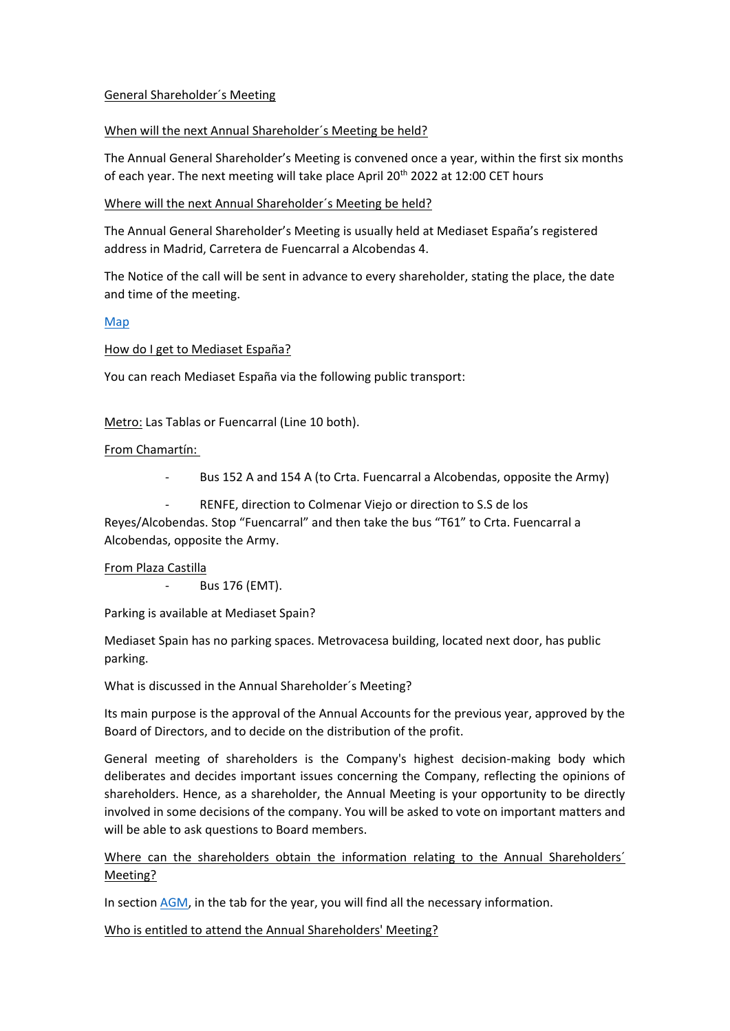## General Shareholder´s Meeting

## When will the next Annual Shareholder´s Meeting be held?

The Annual General Shareholder's Meeting is convened once a year, within the first six months of each year. The next meeting will take place April 20<sup>th</sup> 2022 at 12:00 CET hours

## Where will the next Annual Shareholder´s Meeting be held?

The Annual General Shareholder's Meeting is usually held at Mediaset España's registered address in Madrid, Carretera de Fuencarral a Alcobendas 4.

The Notice of the call will be sent in advance to every shareholder, stating the place, the date and time of the meeting.

## [Map](http://www.mediaset.es/inversores/es/images/Plano-Recepcion-principal-visitas.gif)

How do I get to Mediaset España?

You can reach Mediaset España via the following public transport:

Metro: Las Tablas or Fuencarral (Line 10 both).

#### From Chamartín:

- Bus 152 A and 154 A (to Crta. Fuencarral a Alcobendas, opposite the Army)
- RENFE, direction to Colmenar Viejo or direction to S.S de los

Reyes/Alcobendas. Stop "Fuencarral" and then take the bus "T61" to Crta. Fuencarral a Alcobendas, opposite the Army.

#### From Plaza Castilla

- Bus 176 (EMT).

Parking is available at Mediaset Spain?

Mediaset Spain has no parking spaces. Metrovacesa building, located next door, has public parking.

What is discussed in the Annual Shareholder´s Meeting?

Its main purpose is the approval of the Annual Accounts for the previous year, approved by the Board of Directors, and to decide on the distribution of the profit.

General meeting of shareholders is the Company's highest decision-making body which deliberates and decides important issues concerning the Company, reflecting the opinions of shareholders. Hence, as a shareholder, the Annual Meeting is your opportunity to be directly involved in some decisions of the company. You will be asked to vote on important matters and will be able to ask questions to Board members.

Where can the shareholders obtain the information relating to the Annual Shareholders' Meeting?

In section [AGM,](http://www.mediaset.es/inversores/en/general-shareholders-meeting.html) in the tab for the year, you will find all the necessary information.

Who is entitled to attend the Annual Shareholders' Meeting?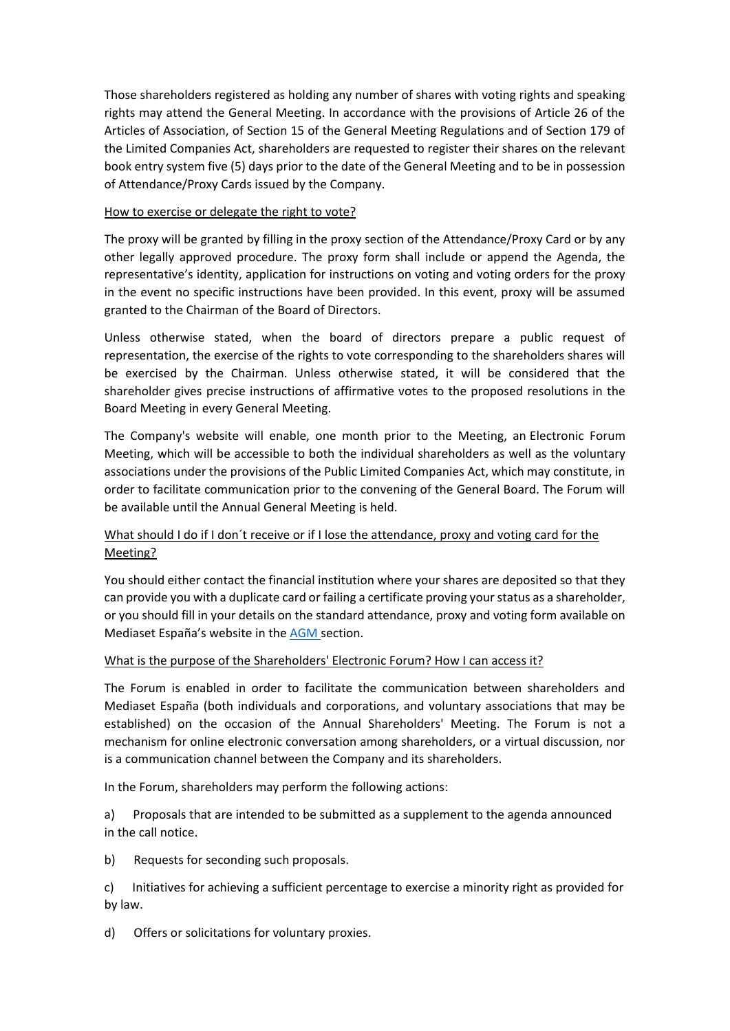Those shareholders registered as holding any number of shares with voting rights and speaking rights may attend the General Meeting. In accordance with the provisions of Article 26 of the Articles of Association, of Section 15 of the General Meeting Regulations and of Section 179 of the Limited Companies Act, shareholders are requested to register their shares on the relevant book entry system five (5) days prior to the date of the General Meeting and to be in possession of Attendance/Proxy Cards issued by the Company.

## How to exercise or delegate the right to vote?

The proxy will be granted by filling in the proxy section of the Attendance/Proxy Card or by any other legally approved procedure. The proxy form shall include or append the Agenda, the representative's identity, application for instructions on voting and voting orders for the proxy in the event no specific instructions have been provided. In this event, proxy will be assumed granted to the Chairman of the Board of Directors.

Unless otherwise stated, when the board of directors prepare a public request of representation, the exercise of the rights to vote corresponding to the shareholders shares will be exercised by the Chairman. Unless otherwise stated, it will be considered that the shareholder gives precise instructions of affirmative votes to the proposed resolutions in the Board Meeting in every General Meeting.

The Company's website will enable, one month prior to the Meeting, an Electronic Forum Meeting, which will be accessible to both the individual shareholders as well as the voluntary associations under the provisions of the Public Limited Companies Act, which may constitute, in order to facilitate communication prior to the convening of the General Board. The Forum will be available until the Annual General Meeting is held.

# What should I do if I don't receive or if I lose the attendance, proxy and voting card for the Meeting?

You should either contact the financial institution where your shares are deposited so that they can provide you with a duplicate card or failing a certificate proving your status as a shareholder, or you should fill in your details on the standard attendance, proxy and voting form available on Mediaset España's website in the [AGM](http://www.mediaset.es/inversores/en/general-shareholders-meeting.html) section.

## What is the purpose of the Shareholders' Electronic Forum? How I can access it?

The Forum is enabled in order to facilitate the communication between shareholders and Mediaset España (both individuals and corporations, and voluntary associations that may be established) on the occasion of the Annual Shareholders' Meeting. The Forum is not a mechanism for online electronic conversation among shareholders, or a virtual discussion, nor is a communication channel between the Company and its shareholders.

In the Forum, shareholders may perform the following actions:

a) Proposals that are intended to be submitted as a supplement to the agenda announced in the call notice.

b) Requests for seconding such proposals.

c) Initiatives for achieving a sufficient percentage to exercise a minority right as provided for by law.

d) Offers or solicitations for voluntary proxies.